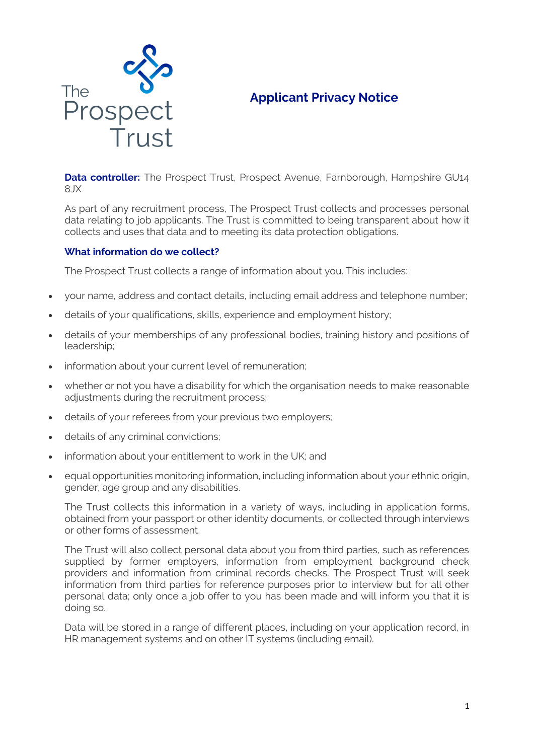

# **Applicant Privacy Notice**

**Data controller:** The Prospect Trust, Prospect Avenue, Farnborough, Hampshire GU14 8JX

As part of any recruitment process, The Prospect Trust collects and processes personal data relating to job applicants. The Trust is committed to being transparent about how it collects and uses that data and to meeting its data protection obligations.

## **What information do we collect?**

The Prospect Trust collects a range of information about you. This includes:

- your name, address and contact details, including email address and telephone number;
- details of your qualifications, skills, experience and employment history;
- details of your memberships of any professional bodies, training history and positions of leadership;
- information about your current level of remuneration;
- whether or not you have a disability for which the organisation needs to make reasonable adjustments during the recruitment process;
- details of your referees from your previous two employers;
- details of any criminal convictions;
- information about your entitlement to work in the UK; and
- equal opportunities monitoring information, including information about your ethnic origin, gender, age group and any disabilities.

The Trust collects this information in a variety of ways, including in application forms, obtained from your passport or other identity documents, or collected through interviews or other forms of assessment.

The Trust will also collect personal data about you from third parties, such as references supplied by former employers, information from employment background check providers and information from criminal records checks. The Prospect Trust will seek information from third parties for reference purposes prior to interview but for all other personal data; only once a job offer to you has been made and will inform you that it is doing so.

Data will be stored in a range of different places, including on your application record, in HR management systems and on other IT systems (including email).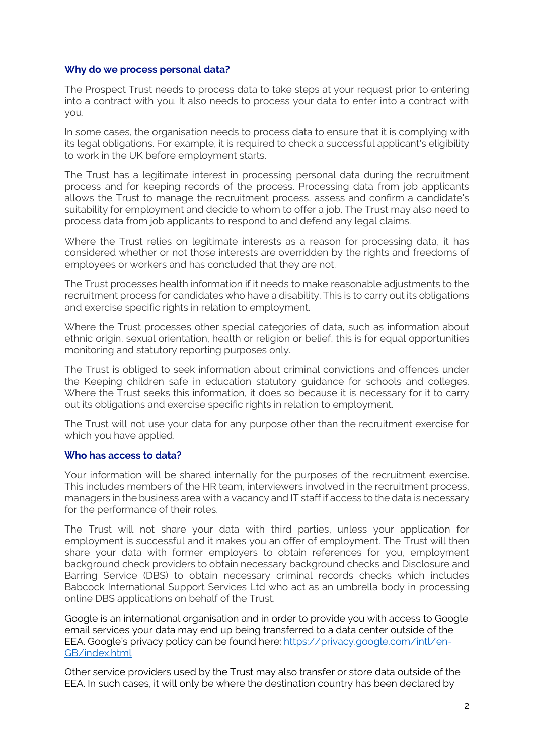#### **Why do we process personal data?**

The Prospect Trust needs to process data to take steps at your request prior to entering into a contract with you. It also needs to process your data to enter into a contract with you.

In some cases, the organisation needs to process data to ensure that it is complying with its legal obligations. For example, it is required to check a successful applicant's eligibility to work in the UK before employment starts.

The Trust has a legitimate interest in processing personal data during the recruitment process and for keeping records of the process. Processing data from job applicants allows the Trust to manage the recruitment process, assess and confirm a candidate's suitability for employment and decide to whom to offer a job. The Trust may also need to process data from job applicants to respond to and defend any legal claims.

Where the Trust relies on legitimate interests as a reason for processing data, it has considered whether or not those interests are overridden by the rights and freedoms of employees or workers and has concluded that they are not.

The Trust processes health information if it needs to make reasonable adjustments to the recruitment process for candidates who have a disability. This is to carry out its obligations and exercise specific rights in relation to employment.

Where the Trust processes other special categories of data, such as information about ethnic origin, sexual orientation, health or religion or belief, this is for equal opportunities monitoring and statutory reporting purposes only.

The Trust is obliged to seek information about criminal convictions and offences under the Keeping children safe in education statutory guidance for schools and colleges. Where the Trust seeks this information, it does so because it is necessary for it to carry out its obligations and exercise specific rights in relation to employment.

The Trust will not use your data for any purpose other than the recruitment exercise for which you have applied.

## **Who has access to data?**

Your information will be shared internally for the purposes of the recruitment exercise. This includes members of the HR team, interviewers involved in the recruitment process, managers in the business area with a vacancy and IT staff if access to the data is necessary for the performance of their roles.

The Trust will not share your data with third parties, unless your application for employment is successful and it makes you an offer of employment. The Trust will then share your data with former employers to obtain references for you, employment background check providers to obtain necessary background checks and Disclosure and Barring Service (DBS) to obtain necessary criminal records checks which includes Babcock International Support Services Ltd who act as an umbrella body in processing online DBS applications on behalf of the Trust.

Google is an international organisation and in order to provide you with access to Google email services your data may end up being transferred to a data center outside of the EEA. Google's privacy policy can be found here: [https://privacy.google.com/intl/en-](https://privacy.google.com/intl/en-GB/index.html)[GB/index.html](https://privacy.google.com/intl/en-GB/index.html)

Other service providers used by the Trust may also transfer or store data outside of the EEA. In such cases, it will only be where the destination country has been declared by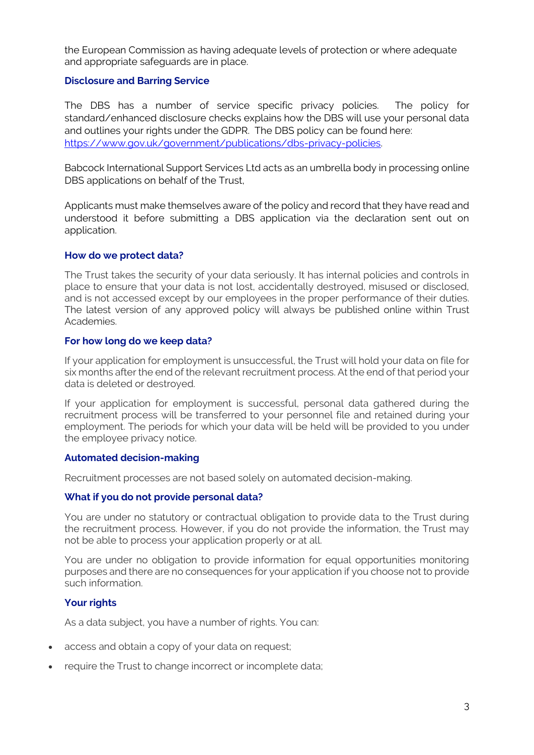the European Commission as having adequate levels of protection or where adequate and appropriate safeguards are in place.

## **Disclosure and Barring Service**

The DBS has a number of service specific privacy policies. The policy for standard/enhanced disclosure checks explains how the DBS will use your personal data and outlines your rights under the GDPR. The DBS policy can be found here: [https://www.gov.uk/government/publications/dbs-privacy-policies.](https://www.gov.uk/government/publications/dbs-privacy-policies)

Babcock International Support Services Ltd acts as an umbrella body in processing online DBS applications on behalf of the Trust,

Applicants must make themselves aware of the policy and record that they have read and understood it before submitting a DBS application via the declaration sent out on application.

### **How do we protect data?**

The Trust takes the security of your data seriously. It has internal policies and controls in place to ensure that your data is not lost, accidentally destroyed, misused or disclosed, and is not accessed except by our employees in the proper performance of their duties. The latest version of any approved policy will always be published online within Trust Academies.

### **For how long do we keep data?**

If your application for employment is unsuccessful, the Trust will hold your data on file for six months after the end of the relevant recruitment process. At the end of that period your data is deleted or destroyed.

If your application for employment is successful, personal data gathered during the recruitment process will be transferred to your personnel file and retained during your employment. The periods for which your data will be held will be provided to you under the employee privacy notice.

#### **Automated decision-making**

Recruitment processes are not based solely on automated decision-making.

## **What if you do not provide personal data?**

You are under no statutory or contractual obligation to provide data to the Trust during the recruitment process. However, if you do not provide the information, the Trust may not be able to process your application properly or at all.

You are under no obligation to provide information for equal opportunities monitoring purposes and there are no consequences for your application if you choose not to provide such information.

## **Your rights**

As a data subject, you have a number of rights. You can:

- access and obtain a copy of your data on request;
- require the Trust to change incorrect or incomplete data;